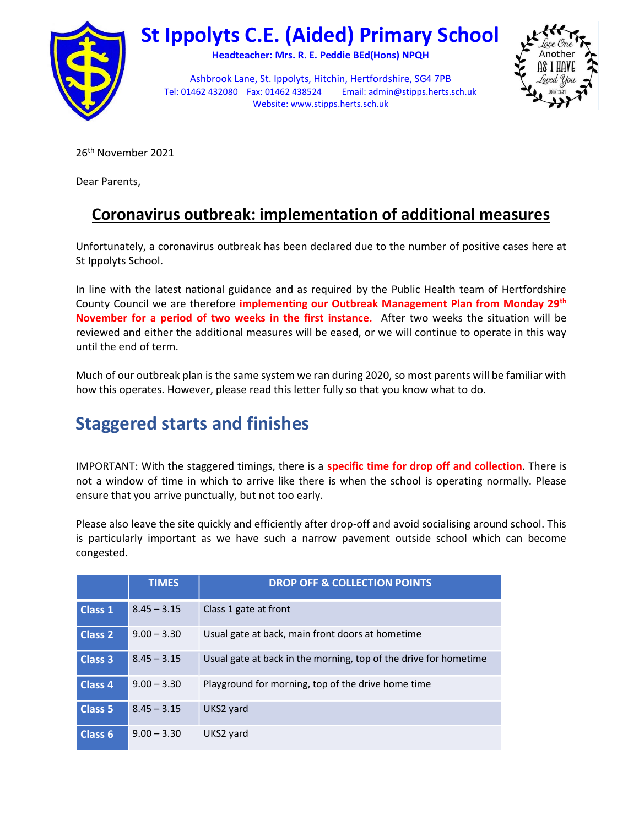

# St Ippolyts C.E. (Aided) Primary School

Headteacher: Mrs. R. E. Peddie BEd(Hons) NPQH

Ashbrook Lane, St. Ippolyts, Hitchin, Hertfordshire, SG4 7PB Tel: 01462 432080 Fax: 01462 438524 Email: admin@stipps.herts.sch.uk Website: www.stipps.herts.sch.uk



26th November 2021

Dear Parents,

### Coronavirus outbreak: implementation of additional measures

Unfortunately, a coronavirus outbreak has been declared due to the number of positive cases here at St Ippolyts School.

In line with the latest national guidance and as required by the Public Health team of Hertfordshire County Council we are therefore implementing our Outbreak Management Plan from Monday 29<sup>th</sup> November for a period of two weeks in the first instance. After two weeks the situation will be reviewed and either the additional measures will be eased, or we will continue to operate in this way until the end of term.

Much of our outbreak plan is the same system we ran during 2020, so most parents will be familiar with how this operates. However, please read this letter fully so that you know what to do.

# Staggered starts and finishes

IMPORTANT: With the staggered timings, there is a **specific time for drop off and collection**. There is not a window of time in which to arrive like there is when the school is operating normally. Please ensure that you arrive punctually, but not too early.

Please also leave the site quickly and efficiently after drop-off and avoid socialising around school. This is particularly important as we have such a narrow pavement outside school which can become congested.

|                    | <b>TIMES</b>  | <b>DROP OFF &amp; COLLECTION POINTS</b>                          |
|--------------------|---------------|------------------------------------------------------------------|
| <b>Class 1</b>     | $8.45 - 3.15$ | Class 1 gate at front                                            |
| <b>Class 2</b>     | $9.00 - 3.30$ | Usual gate at back, main front doors at hometime                 |
| <b>Class 3</b>     | $8.45 - 3.15$ | Usual gate at back in the morning, top of the drive for hometime |
| <b>Class 4</b>     | $9.00 - 3.30$ | Playground for morning, top of the drive home time               |
| Class <sub>5</sub> | $8.45 - 3.15$ | UKS2 yard                                                        |
| Class <sub>6</sub> | $9.00 - 3.30$ | UKS2 yard                                                        |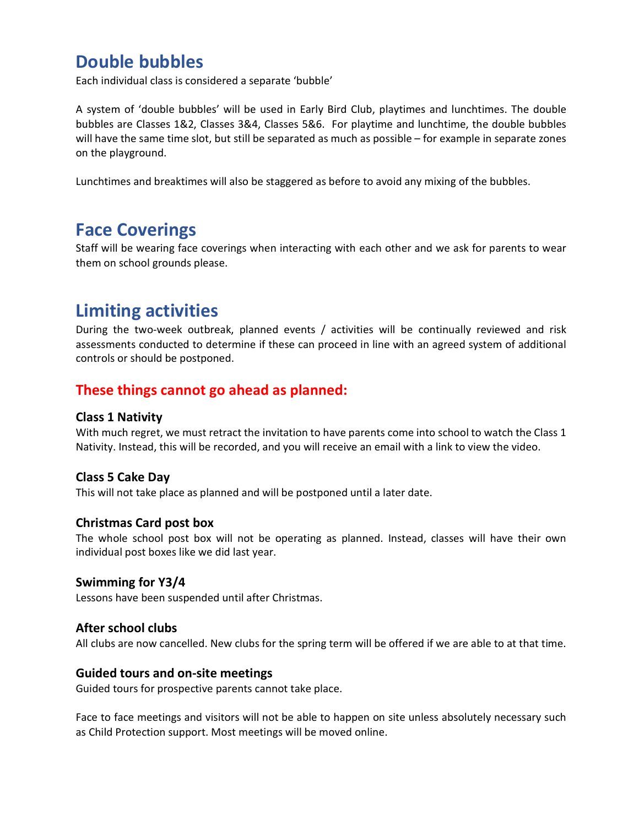### Double bubbles

Each individual class is considered a separate 'bubble'

A system of 'double bubbles' will be used in Early Bird Club, playtimes and lunchtimes. The double bubbles are Classes 1&2, Classes 3&4, Classes 5&6. For playtime and lunchtime, the double bubbles will have the same time slot, but still be separated as much as possible – for example in separate zones on the playground.

Lunchtimes and breaktimes will also be staggered as before to avoid any mixing of the bubbles.

### Face Coverings

Staff will be wearing face coverings when interacting with each other and we ask for parents to wear them on school grounds please.

# Limiting activities

During the two-week outbreak, planned events / activities will be continually reviewed and risk assessments conducted to determine if these can proceed in line with an agreed system of additional controls or should be postponed.

### These things cannot go ahead as planned:

#### Class 1 Nativity

With much regret, we must retract the invitation to have parents come into school to watch the Class 1 Nativity. Instead, this will be recorded, and you will receive an email with a link to view the video.

#### Class 5 Cake Day

This will not take place as planned and will be postponed until a later date.

#### Christmas Card post box

The whole school post box will not be operating as planned. Instead, classes will have their own individual post boxes like we did last year.

#### Swimming for Y3/4

Lessons have been suspended until after Christmas.

#### After school clubs

All clubs are now cancelled. New clubs for the spring term will be offered if we are able to at that time.

#### Guided tours and on-site meetings

Guided tours for prospective parents cannot take place.

Face to face meetings and visitors will not be able to happen on site unless absolutely necessary such as Child Protection support. Most meetings will be moved online.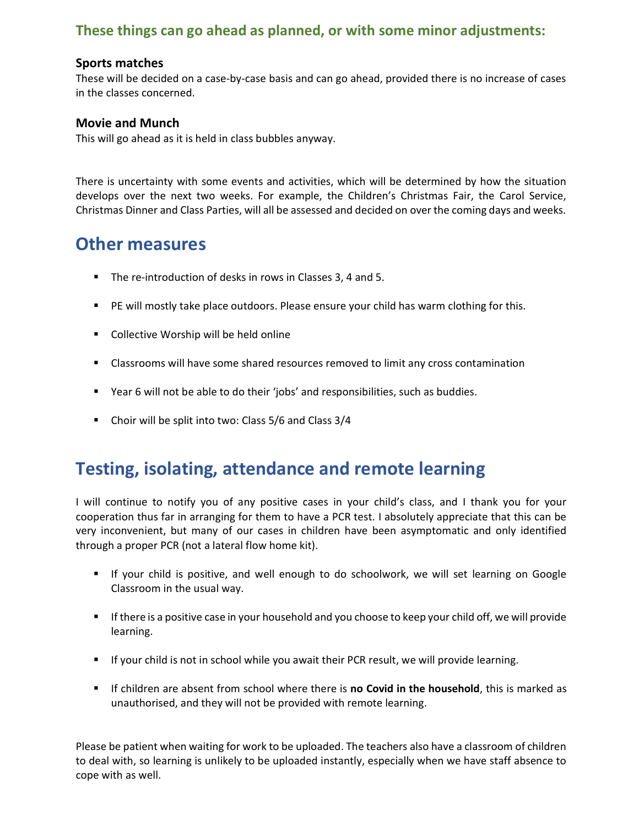### These things can go ahead as planned, or with some minor adjustments:

#### Sports matches

These will be decided on a case-by-case basis and can go ahead, provided there is no increase of cases in the classes concerned.

#### Movie and Munch

This will go ahead as it is held in class bubbles anyway.

There is uncertainty with some events and activities, which will be determined by how the situation develops over the next two weeks. For example, the Children's Christmas Fair, the Carol Service, Christmas Dinner and Class Parties, will all be assessed and decided on over the coming days and weeks.

### Other measures

- The re-introduction of desks in rows in Classes 3, 4 and 5.
- **PE will mostly take place outdoors. Please ensure your child has warm clothing for this.**
- Collective Worship will be held online
- Classrooms will have some shared resources removed to limit any cross contamination
- Year 6 will not be able to do their 'jobs' and responsibilities, such as buddies.
- Choir will be split into two: Class 5/6 and Class 3/4

### Testing, isolating, attendance and remote learning

I will continue to notify you of any positive cases in your child's class, and I thank you for your cooperation thus far in arranging for them to have a PCR test. I absolutely appreciate that this can be very inconvenient, but many of our cases in children have been asymptomatic and only identified through a proper PCR (not a lateral flow home kit).

- If your child is positive, and well enough to do schoolwork, we will set learning on Google Classroom in the usual way.
- If there is a positive case in your household and you choose to keep your child off, we will provide learning.
- If your child is not in school while you await their PCR result, we will provide learning.
- If children are absent from school where there is no Covid in the household, this is marked as unauthorised, and they will not be provided with remote learning.

Please be patient when waiting for work to be uploaded. The teachers also have a classroom of children to deal with, so learning is unlikely to be uploaded instantly, especially when we have staff absence to cope with as well.